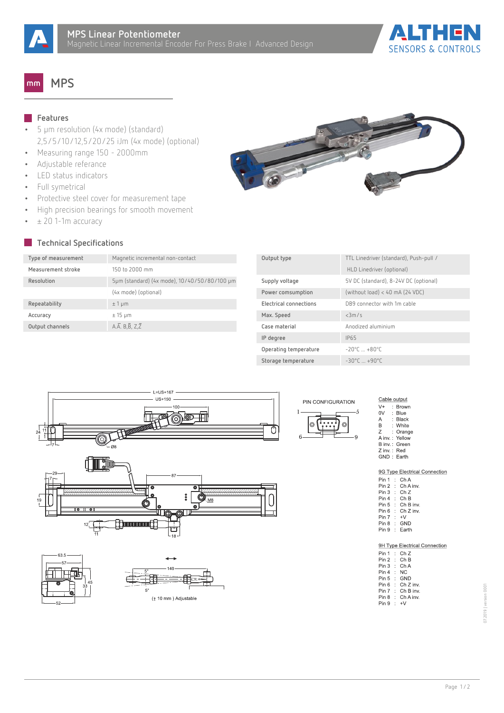



## **MPS**  $mm$

## **Features**

- **•** 5 µm resolution (4x mode) (standard) 2,5/5/10/12,5/20/25 iJm (4x mode) (optional)
- **•** Measuring range 150 2000mm
- **•** Adjustable referance
- **•** LED status indicators
- **•** Full symetrical
- **•** Protective steel cover for measurement tape
- **•** High precision bearings for smooth movement
- **•** ± 20 1-1m accuracy

## **Technical Specifications**

| Type of measurement | Magnetic incremental non-contact             |
|---------------------|----------------------------------------------|
| Measurement stroke  | 150 to 2000 mm                               |
| Resolution          | 5µm (standard) (4x mode), 10/40/50/80/100 µm |
|                     | (4x mode) (optional)                         |
| Repeatability       | $±1 \mu m$                                   |
| Accuracy            | $± 15 \mu m$                                 |
| Output channels     | A.A. $B, \overline{B}, Z, \overline{Z}$      |

| Output type            | TTL Linedriver (standard), Push-pull /      |
|------------------------|---------------------------------------------|
|                        | HLD Linedriver (optional)                   |
| Supply voltage         | 5V DC (standard), 8-24V DC (optional)       |
| Power comsumption      | (without load) < 40 mA (24 VDC)             |
| Electrical connections | DB9 connector with 1m cable                 |
| Max. Speed             | <3m/s                                       |
| Case material          | Anodized aluminium                          |
| IP degree              | <b>IP65</b>                                 |
| Operating temperature  | $-20^{\circ}$ C $+80^{\circ}$ C             |
| Storage temperature    | $-30^{\circ}$ $C_{+}$ $+90^{\circ}$ $C_{-}$ |









| Cable output |  |                   |  |  |  |  |  |  |  |
|--------------|--|-------------------|--|--|--|--|--|--|--|
| $V +$        |  | Brown             |  |  |  |  |  |  |  |
| 0V           |  | $\therefore$ Blue |  |  |  |  |  |  |  |
| А            |  | ∴ Black           |  |  |  |  |  |  |  |
| R            |  | : White           |  |  |  |  |  |  |  |
| 7            |  | : Orange          |  |  |  |  |  |  |  |
|              |  | A inv.: Yellow    |  |  |  |  |  |  |  |
|              |  | B inv.: Green     |  |  |  |  |  |  |  |
| Z inv.: Red  |  |                   |  |  |  |  |  |  |  |
|              |  | GND: Earth        |  |  |  |  |  |  |  |
|              |  |                   |  |  |  |  |  |  |  |

|              |  | 9G Type Electrical Connection |
|--------------|--|-------------------------------|
|              |  | Pin 1 : ChA                   |
|              |  | $Pin 2 \cdot Ch A inv.$       |
|              |  | Pin 3 : Ch Z                  |
|              |  | $Pin 4$ $Ch B$                |
|              |  | Pin 5: Ch B inv.              |
|              |  | Pin 6 : Ch Z inv.             |
| $Pin 7 : +V$ |  |                               |
|              |  | Pin 8 : GND                   |
|              |  | Pin 9 : Earth                 |
|              |  |                               |
|              |  |                               |

|        | 9H Type Electrical Connection |
|--------|-------------------------------|
|        | Pin 1 : Ch Z                  |
|        | Pin 2 : Ch B                  |
|        | Pin 3 : Ch A                  |
| Pin 4: | ΝC                            |
|        | Pin 5 : GND                   |
|        | Pin 6 : Ch Z inv.             |
|        | Pin 7 : Ch B inv.             |
|        | Pin 8 : Ch A inv.             |
| Pin 9: | $+V$                          |